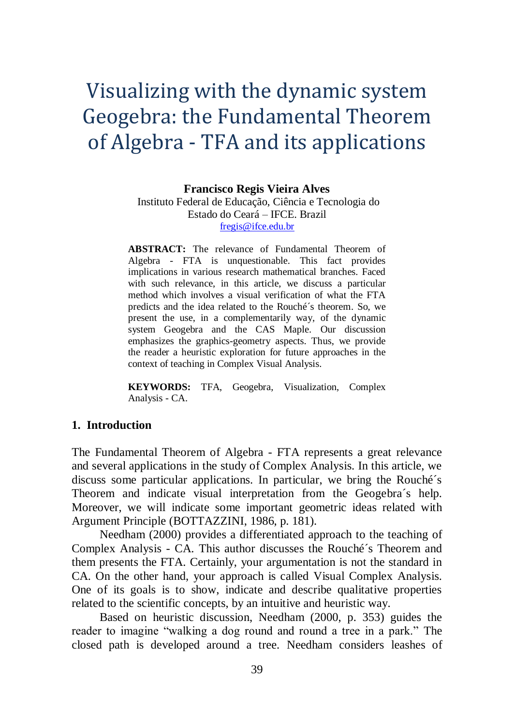# Visualizing with the dynamic system Geogebra: the Fundamental Theorem of Algebra - TFA and its applications

**Francisco Regis Vieira Alves**

Instituto Federal de Educação, Ciência e Tecnologia do Estado do Ceará – IFCE. Brazil [fregis@ifce.edu.br](mailto:fregis@ifce.edu.br)

**ABSTRACT:** The relevance of Fundamental Theorem of Algebra - FTA is unquestionable. This fact provides implications in various research mathematical branches. Faced with such relevance, in this article, we discuss a particular method which involves a visual verification of what the FTA predicts and the idea related to the Rouché´s theorem. So, we present the use, in a complementarily way, of the dynamic system Geogebra and the CAS Maple. Our discussion emphasizes the graphics-geometry aspects. Thus, we provide the reader a heuristic exploration for future approaches in the context of teaching in Complex Visual Analysis.

**KEYWORDS:** TFA, Geogebra, Visualization, Complex Analysis - CA.

# **1. Introduction**

The Fundamental Theorem of Algebra - FTA represents a great relevance and several applications in the study of Complex Analysis. In this article, we discuss some particular applications. In particular, we bring the Rouché´s Theorem and indicate visual interpretation from the Geogebra´s help. Moreover, we will indicate some important geometric ideas related with Argument Principle (BOTTAZZINI, 1986, p. 181).

Needham (2000) provides a differentiated approach to the teaching of Complex Analysis - CA. This author discusses the Rouché´s Theorem and them presents the FTA. Certainly, your argumentation is not the standard in CA. On the other hand, your approach is called Visual Complex Analysis. One of its goals is to show, indicate and describe qualitative properties related to the scientific concepts, by an intuitive and heuristic way.

Based on heuristic discussion, Needham (2000, p. 353) guides the reader to imagine "walking a dog round and round a tree in a park." The closed path is developed around a tree. Needham considers leashes of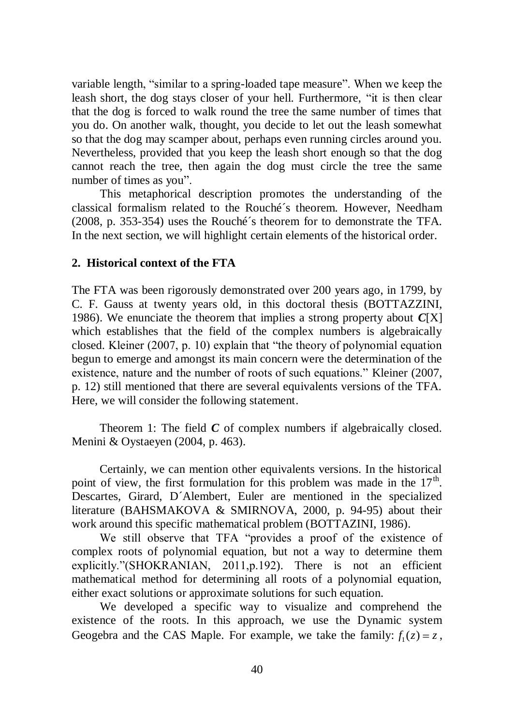variable length, "similar to a spring-loaded tape measure". When we keep the leash short, the dog stays closer of your hell. Furthermore, "it is then clear that the dog is forced to walk round the tree the same number of times that you do. On another walk, thought, you decide to let out the leash somewhat so that the dog may scamper about, perhaps even running circles around you. Nevertheless, provided that you keep the leash short enough so that the dog cannot reach the tree, then again the dog must circle the tree the same number of times as you".

This metaphorical description promotes the understanding of the classical formalism related to the Rouché´s theorem. However, Needham (2008, p. 353-354) uses the Rouché´s theorem for to demonstrate the TFA. In the next section, we will highlight certain elements of the historical order.

## **2. Historical context of the FTA**

The FTA was been rigorously demonstrated over 200 years ago, in 1799, by C. F. Gauss at twenty years old, in this doctoral thesis (BOTTAZZINI, 1986). We enunciate the theorem that implies a strong property about *C*[X] which establishes that the field of the complex numbers is algebraically closed. Kleiner (2007, p. 10) explain that "the theory of polynomial equation begun to emerge and amongst its main concern were the determination of the existence, nature and the number of roots of such equations." Kleiner (2007, p. 12) still mentioned that there are several equivalents versions of the TFA. Here, we will consider the following statement.

Theorem 1: The field *C* of complex numbers if algebraically closed. Menini & Oystaeyen (2004, p. 463).

Certainly, we can mention other equivalents versions. In the historical point of view, the first formulation for this problem was made in the  $17<sup>th</sup>$ . Descartes, Girard, D´Alembert, Euler are mentioned in the specialized literature (BAHSMAKOVA & SMIRNOVA, 2000, p. 94-95) about their work around this specific mathematical problem (BOTTAZINI, 1986).

We still observe that TFA "provides a proof of the existence of complex roots of polynomial equation, but not a way to determine them explicitly."(SHOKRANIAN, 2011, p.192). There is not an efficient mathematical method for determining all roots of a polynomial equation, either exact solutions or approximate solutions for such equation.

We developed a specific way to visualize and comprehend the existence of the roots. In this approach, we use the Dynamic system Geogebra and the CAS Maple. For example, we take the family:  $f_1(z) = z$ ,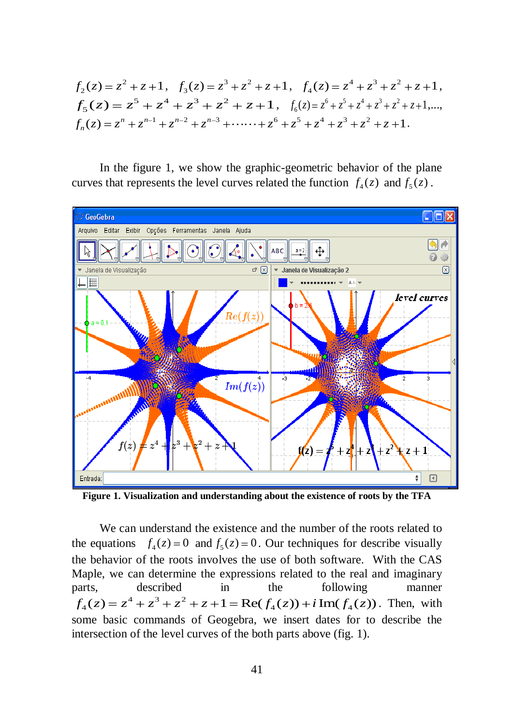$$
f_2(z) = z^2 + z + 1, \quad f_3(z) = z^3 + z^2 + z + 1, \quad f_4(z) = z^4 + z^3 + z^2 + z + 1,
$$
  
\n
$$
f_5(z) = z^5 + z^4 + z^3 + z^2 + z + 1, \quad f_6(z) = z^6 + z^5 + z^4 + z^3 + z^2 + z + 1, \dots,
$$
  
\n
$$
f_n(z) = z^n + z^{n-1} + z^{n-2} + z^{n-3} + \dots + z^6 + z^5 + z^4 + z^3 + z^2 + z + 1.
$$

In the figure 1, we show the graphic-geometric behavior of the plane curves that represents the level curves related the function  $f_4(z)$  and  $f_5(z)$ .



**Figure 1. Visualization and understanding about the existence of roots by the TFA**

We can understand the existence and the number of the roots related to the equations  $f_4(z) = 0$  and  $f_5(z) = 0$ . Our techniques for describe visually the behavior of the roots involves the use of both software. With the CAS Maple, we can determine the expressions related to the real and imaginary parts, described in the following manner  $4\frac{3}{2}$ Aaple, we can determine the expressions related to the real and imaginary<br>arts, described in the following manner<br> $f_4(z) = z^4 + z^3 + z^2 + z + 1 = \text{Re}(f_4(z)) + i \text{ Im}(f_4(z))$ . Then, with some basic commands of Geogebra, we insert dates for to describe the intersection of the level curves of the both parts above (fig. 1).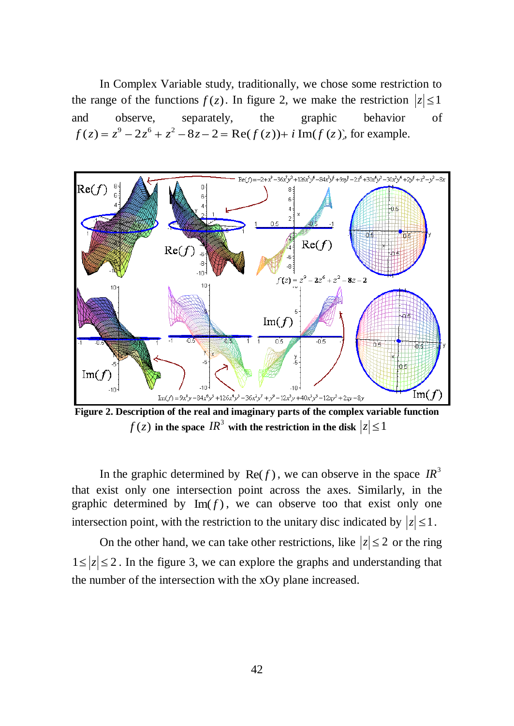In Complex Variable study, traditionally, we chose some restriction to the range of the functions  $f(z)$ . In figure 2, we make the restriction  $|z| \leq 1$ and observe, separately, the graphic behavior of and observe, separately, the graphic behavior<br>  $f(z) = z^9 - 2z^6 + z^2 - 8z - 2 = \text{Re}(f(z)) + i \text{Im}(f(z))$ , for example.



**Figure 2. Description of the real and imaginary parts of the complex variable function**  $f(z)$  in the space  $\textit{IR}^3$  with the restriction in the disk  $|z|$   $\leq$   $1$ 

In the graphic determined by  $\text{Re}(f)$ , we can observe in the space  $IR^3$ that exist only one intersection point across the axes. Similarly, in the graphic determined by  $\text{Im}(f)$ , we can observe too that exist only one intersection point, with the restriction to the unitary disc indicated by  $|z| \leq 1$ .

On the other hand, we can take other restrictions, like  $|z| \leq 2$  or the ring  $1 \le |z| \le 2$ . In the figure 3, we can explore the graphs and understanding that the number of the intersection with the xOy plane increased.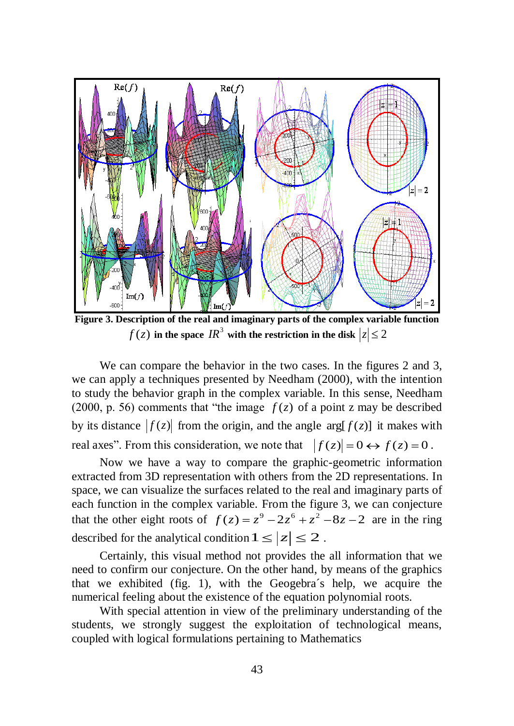

**Figure 3. Description of the real and imaginary parts of the complex variable function**  $f(z)$  in the space  $IR^3$  with the restriction in the disk  $|z|$   $\leq$  2

We can compare the behavior in the two cases. In the figures 2 and 3, we can apply a techniques presented by Needham (2000), with the intention to study the behavior graph in the complex variable. In this sense, Needham (2000, p. 56) comments that "the image  $f(z)$  of a point z may be described by its distance  $|f(z)|$  from the origin, and the angle  $\arg[f(z)]$  it makes with real axes". From this consideration, we note that  $|f(z)| = 0 \leftrightarrow f(z) = 0$ .

Now we have a way to compare the graphic-geometric information extracted from 3D representation with others from the 2D representations. In space, we can visualize the surfaces related to the real and imaginary parts of each function in the complex variable. From the figure 3, we can conjecture each function in the complex variable. From the figure 3, we can conjecture that the other eight roots of  $f(z) = z^9 - 2z^6 + z^2 - 8z - 2$  are in the ring described for the analytical condition  $1 \le |z| \le 2$ .

Certainly, this visual method not provides the all information that we need to confirm our conjecture. On the other hand, by means of the graphics that we exhibited (fig. 1), with the Geogebra´s help, we acquire the numerical feeling about the existence of the equation polynomial roots.

With special attention in view of the preliminary understanding of the students, we strongly suggest the exploitation of technological means, coupled with logical formulations pertaining to Mathematics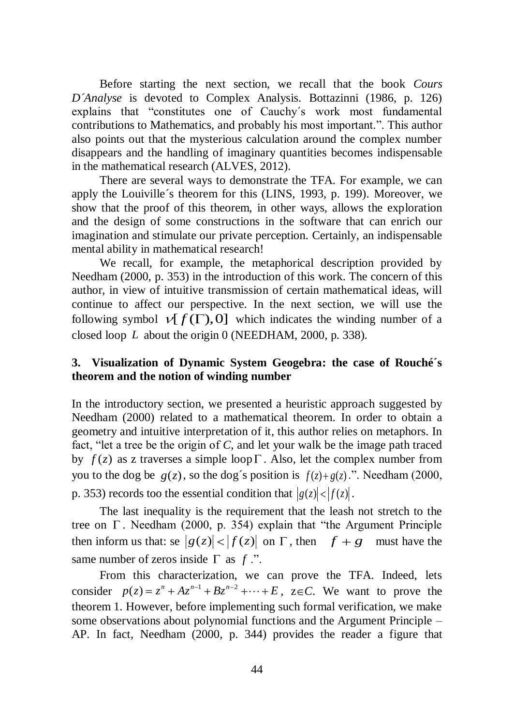Before starting the next section, we recall that the book *Cours D´Analyse* is devoted to Complex Analysis. Bottazinni (1986, p. 126) explains that "constitutes one of Cauchy´s work most fundamental contributions to Mathematics, and probably his most important.". This author also points out that the mysterious calculation around the complex number disappears and the handling of imaginary quantities becomes indispensable in the mathematical research (ALVES, 2012).

There are several ways to demonstrate the TFA. For example, we can apply the Louiville´s theorem for this (LINS, 1993, p. 199). Moreover, we show that the proof of this theorem, in other ways, allows the exploration and the design of some constructions in the software that can enrich our imagination and stimulate our private perception. Certainly, an indispensable mental ability in mathematical research!

We recall, for example, the metaphorical description provided by Needham (2000, p. 353) in the introduction of this work. The concern of this author, in view of intuitive transmission of certain mathematical ideas, will continue to affect our perspective. In the next section, we will use the following symbol  $\nu[f(\Gamma),0]$  which indicates the winding number of a closed loop *L* about the origin 0 (NEEDHAM, 2000, p. 338).

# **3. Visualization of Dynamic System Geogebra: the case of Rouché´s theorem and the notion of winding number**

In the introductory section, we presented a heuristic approach suggested by Needham (2000) related to a mathematical theorem. In order to obtain a geometry and intuitive interpretation of it, this author relies on metaphors. In fact, "let a tree be the origin of *C*, and let your walk be the image path traced by  $f(z)$  as z traverses a simple loop  $\Gamma$ . Also, let the complex number from you to the dog be  $g(z)$ , so the dog's position is  $f(z) + g(z)$ .". Needham (2000, p. 353) records too the essential condition that  $|g(z)| < |f(z)|$ .

The last inequality is the requirement that the leash not stretch to the tree on  $\Gamma$ . Needham (2000, p. 354) explain that "the Argument Principle then inform us that: se  $|g(z)| < |f(z)|$  on  $\Gamma$ , then  $f + g$  must have the same number of zeros inside  $\Gamma$  as  $f$ .".

From this characterization, we can prove the TFA. Indeed, lets From this characterization, we can prove the TFA. Indeed, lets<br>consider  $p(z) = z^n + Az^{n-1} + Bz^{n-2} + \cdots + E$ ,  $z \in C$ . We want to prove the theorem 1. However, before implementing such formal verification, we make some observations about polynomial functions and the Argument Principle – AP. In fact, Needham (2000, p. 344) provides the reader a figure that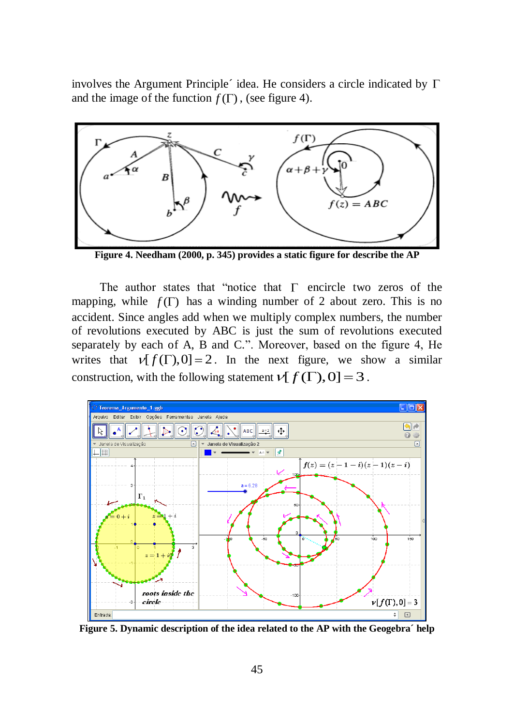involves the Argument Principle $\acute{\ }$  idea. He considers a circle indicated by  $\Gamma$ and the image of the function  $f(\Gamma)$ , (see figure 4).



**Figure 4. Needham (2000, p. 345) provides a static figure for describe the AP**

The author states that "notice that  $\Gamma$  encircle two zeros of the mapping, while  $f(\Gamma)$  has a winding number of 2 about zero. This is no accident. Since angles add when we multiply complex numbers, the number of revolutions executed by ABC is just the sum of revolutions executed separately by each of A, B and C.". Moreover, based on the figure 4, He writes that  $\nu[f(\Gamma),0] = 2$ . In the next figure, we show a similar construction, with the following statement  $V[f(\Gamma),0] = 3$ .



**Figure 5. Dynamic description of the idea related to the AP with the Geogebra´ help**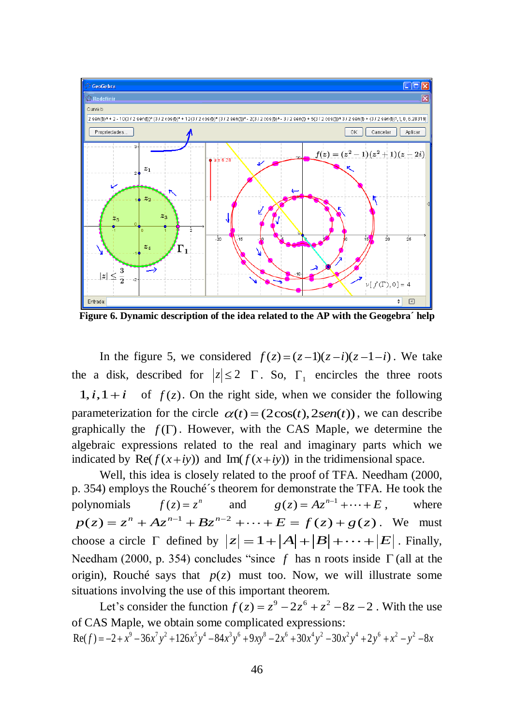

**Figure 6. Dynamic description of the idea related to the AP with the Geogebra´ help**

In the figure 5, we considered  $f(z) = (z-1)(z-i)(z-1-i)$ . We take the a disk, described for  $|z| \le 2 \Gamma$ . So,  $\Gamma_1$  encircles the three roots  $1, i, 1+i$  of  $f(z)$ . On the right side, when we consider the following parameterization for the circle  $\alpha(t) = (2\cos(t), 2\sin(t))$ , we can describe graphically the  $f(\Gamma)$ . However, with the CAS Maple, we determine the algebraic expressions related to the real and imaginary parts which we indicated by  $\text{Re}(f(x+iy))$  and  $\text{Im}(f(x+iy))$  in the tridimensional space.

Well, this idea is closely related to the proof of TFA. Needham (2000, p. 354) employs the Rouché´s theorem for demonstrate the TFA. He took the polynomials  $f(z) = z^n$  and  $g(z) = Az^{n-1} + \dots + E$ , where  $p(z) = z^n + Az^{n-1} + Bz^{n-2} + \cdots + E = f(z) + g(z)$ . We must  $p(z) = z^2 + Az^2 + Bz^2 + \cdots + E = f(z) + g(z)$ . We must<br>choose a circle  $\Gamma$  defined by  $|z| = 1 + |A| + |B| + \cdots + |E|$ . Finally, Needham (2000, p. 354) concludes "since f has n roots inside  $\Gamma$  (all at the origin), Rouché says that  $p(z)$  must too. Now, we will illustrate some situations involving the use of this important theorem.

Let's consider the function  $f(z) = z^9 - 2z^6 + z^2 - 8z - 2$ . With the use of CAS Maple, we obtain some complicated expressions:  $Re(f) = -2 + x^9 - 36x^7y^2 + 126x^5y^4 - 84x^3y^6 + 9xy^8 - 2x^6 + 30x^4y^2 - 30x^2y^4 + 2y^6 + x^2 - y^2 - 8x^4y^2$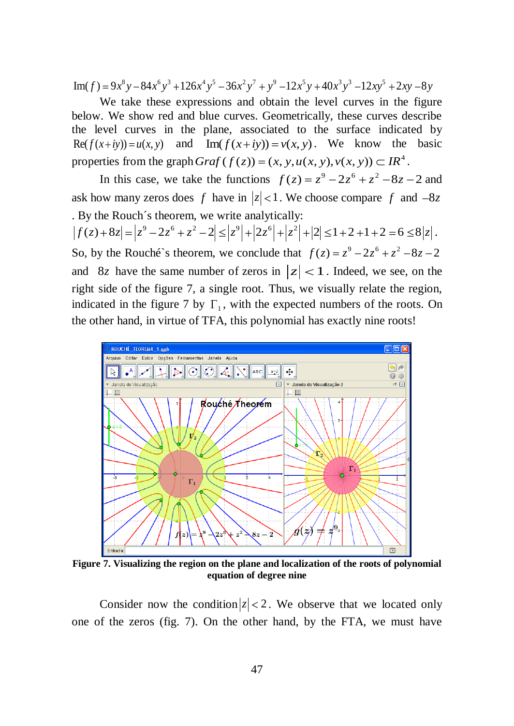We take these expressions and obtain the level curves in the figure below. We show red and blue curves. Geometrically, these curves describe the level curves in the plane, associated to the surface indicated by Re( $f(x+iy) = u(x, y)$  and  $Im(f(x+iy)) = v(x, y)$ . We know the basic Re( $f(x+iy)$ ) =  $u(x, y)$  and Im( $f(x+iy)$ ) =  $v(x, y)$ . We know the properties from the graph *Graf* ( $f(z)$ ) =  $(x, y, u(x, y), v(x, y)) \subset IR^4$ .

In this case, we take the functions  $f(z) = z^9 - 2z^6 + z^2 - 8z - 2$  and ask how many zeros does f have in  $|z| < 1$ . We choose compare f and  $-8z$ . By the Rouch´s theorem, we write analytically:  $|f(z)+8z|=|z^9-2z^6+z^2-2|\leq |z^9|+|2z^6|+|z^2|+|2|\leq 1+2+1+2=6\leq 8|z|.$ So, by the Rouché's theorem, we conclude that  $f(z) = z^9 - 2z^6 + z^2 - 8z - 2$ and 8*z* have the same number of zeros in  $|z| < 1$ . Indeed, we see, on the right side of the figure 7, a single root. Thus, we visually relate the region, indicated in the figure 7 by  $\Gamma_1$ , with the expected numbers of the roots. On

the other hand, in virtue of TFA, this polynomial has exactly nine roots!



**Figure 7. Visualizing the region on the plane and localization of the roots of polynomial equation of degree nine**

Consider now the condition  $|z| < 2$ . We observe that we located only one of the zeros (fig. 7). On the other hand, by the FTA, we must have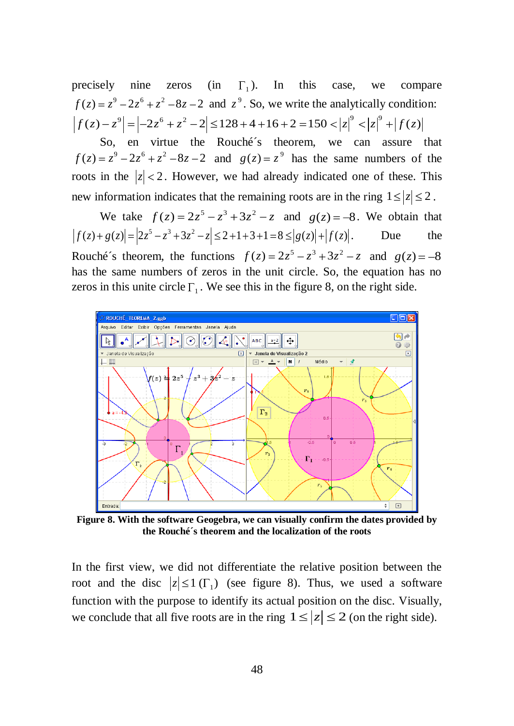precisely nine zeros 1). In this case, we compare  $f(z) = z^9 - 2z^6 + z^2 - 8z - 2$  and  $z^9$ . So, we write the analytically condition: precisely nine zeros (in  $\Gamma_1$ ). In this case, we compare  $f(z) = z^9 - 2z^6 + z^2 - 8z - 2$  and  $z^9$ . So, we write the analytically condition:<br> $|f(z) - z^9| = |-2z^6 + z^2 - 2| \le 128 + 4 + 16 + 2 = 150 < |z|^9 < |z|^9 + |f(z)|$ 

So, en virtue the Rouché´s theorem, we can assure that  $f(z) = z^9 - 2z^6 + z^2 - 8z - 2$  and  $g(z) = z^9$  has the same numbers of the roots in the  $|z| < 2$ . However, we had already indicated one of these. This new information indicates that the remaining roots are in the ring  $1 \le |z| \le 2$ .

We take  $f(z) = 2z^5 - z^3 + 3z^2 - z$  and  $g(z) = -8$ . We obtain that We take  $f(z) = 2z^5 - z^3 + 3z^2 - z$  and  $g(z) = -8$ . We obtain that  $f(z) + g(z)| = |2z^5 - z^3 + 3z^2 - z| \le 2 + 1 + 3 + 1 = 8 \le |g(z)| + |f(z)|$ . Due the Rouché's theorem, the functions  $f(z) = 2z^5 - z^3 + 3z^2 - z$  and  $g(z) = -8$ has the same numbers of zeros in the unit circle. So, the equation has no zeros in this unite circle  $\Gamma_1$ . We see this in the figure 8, on the right side.



**Figure 8. With the software Geogebra, we can visually confirm the dates provided by the Rouché´s theorem and the localization of the roots**

In the first view, we did not differentiate the relative position between the root and the disc  $|z| \le 1$  ( $\Gamma_1$ ) (see figure 8). Thus, we used a software function with the purpose to identify its actual position on the disc. Visually, we conclude that all five roots are in the ring  $1 \le |z| \le 2$  (on the right side).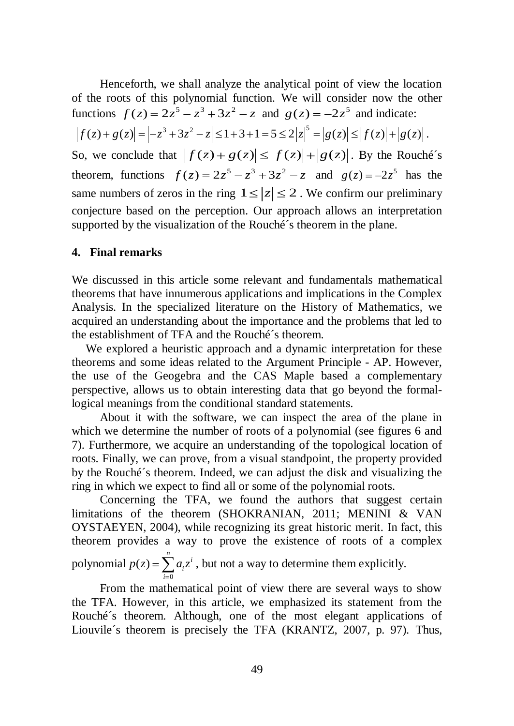Henceforth, we shall analyze the analytical point of view the location of the roots of this polynomial function. We will consider now the other functions  $f(z) = 2z^5 - z^3 + 3z^2 - z$  and  $g(z) = -2z^5$  and indicate:

 $|f(z)+g(z)| = |-z^3+3z^2-z| \leq 1+3+1=5 \leq 2|z|^5 = |g(z)| \leq |f(z)|+|g(z)|$ .

So, we conclude that  $|f(z) + g(z)| \le |f(z)| + |g(z)|$ . By the Rouché's theorem, functions  $f(z) = 2z^5 - z^3 + 3z^2 - z$  and  $g(z) = -2z^5$  has the same numbers of zeros in the ring  $1 \le |z| \le 2$ . We confirm our preliminary conjecture based on the perception. Our approach allows an interpretation supported by the visualization of the Rouché´s theorem in the plane.

#### **4. Final remarks**

We discussed in this article some relevant and fundamentals mathematical theorems that have innumerous applications and implications in the Complex Analysis. In the specialized literature on the History of Mathematics, we acquired an understanding about the importance and the problems that led to the establishment of TFA and the Rouché´s theorem.

We explored a heuristic approach and a dynamic interpretation for these theorems and some ideas related to the Argument Principle - AP. However, the use of the Geogebra and the CAS Maple based a complementary perspective, allows us to obtain interesting data that go beyond the formallogical meanings from the conditional standard statements.

About it with the software, we can inspect the area of the plane in which we determine the number of roots of a polynomial (see figures 6 and 7). Furthermore, we acquire an understanding of the topological location of roots. Finally, we can prove, from a visual standpoint, the property provided by the Rouché´s theorem. Indeed, we can adjust the disk and visualizing the ring in which we expect to find all or some of the polynomial roots.

Concerning the TFA, we found the authors that suggest certain limitations of the theorem (SHOKRANIAN, 2011; MENINI & VAN OYSTAEYEN, 2004), while recognizing its great historic merit. In fact, this theorem provides a way to prove the existence of roots of a complex polynomial  $\mathbf{0}$  $(z)$  $\sum_{i=1}^{n}$ *i i*  $p(z) = \sum a_i z^i$ , but not a way to determine them explicitly.

From the mathematical point of view there are several ways to show the TFA. However, in this article, we emphasized its statement from the Rouché´s theorem. Although, one of the most elegant applications of Liouvile´s theorem is precisely the TFA (KRANTZ, 2007, p. 97). Thus,